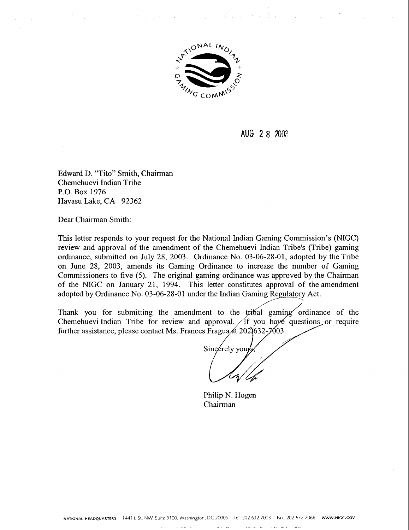

 $\label{eq:2.1} \mathcal{F}_{\mathbf{X}}(\mathbf{X}) = \mathcal{F}_{\mathbf{X}}(\mathbf{X}) = \mathcal{F}_{\mathbf{X}}(\mathbf{X}) = \mathcal{F}_{\mathbf{X}}(\mathbf{X}) = \mathcal{F}_{\mathbf{X}}(\mathbf{X}) = \mathcal{F}_{\mathbf{X}}(\mathbf{X}) = \mathcal{F}_{\mathbf{X}}(\mathbf{X}) = \mathcal{F}_{\mathbf{X}}(\mathbf{X}) = \mathcal{F}_{\mathbf{X}}(\mathbf{X}) = \mathcal{F}_{\mathbf{X}}(\mathbf{X}) = \mathcal{F}_{\mathbf{X}}(\mathbf{X}) = \math$ 

**AUG** 2 8 200?

Edward D. "Tito" Smith, Chairman Chemehuevi Indian Tribe P.O. Box 1976 Havasu Lake, CA 92362

Dear Chairman Smith:

 $\mathcal{A}=\mathcal{A}$  .

This letter responds to your request for the National Indian Gaming Commission's (NIGC) review and approval of the amendment of the Chemehuevi Indian Tribe's (Tribe) gaming ordinance, submitted on July 28, 2003. Ordinance No. 03-06-28-01, adopted by the Tribe on June 28, 2003, amends its Gaming Ordinance to increase the number of Gaming Commissioners to five (5). The original gaming ordinance was approved by the Chairman of the NIGC on January 21, 1994. This letter constitutes approval of the amendment adopted by Ordinance No. 03-06-28-01 under the Indian Gaming Regulatory Act.

Thank you for submitting the amendment to the tribal gaming ordinance of the Chemehuevi Indian Tribe for review and approval.  $\sqrt{f}$  you have questions or require further assistance, please contact Ms. Frances Fragua  $\mu$  202) 632-7003.

Sincerely you

Philip N. Hogen Chairman

-- - -. -, .---.